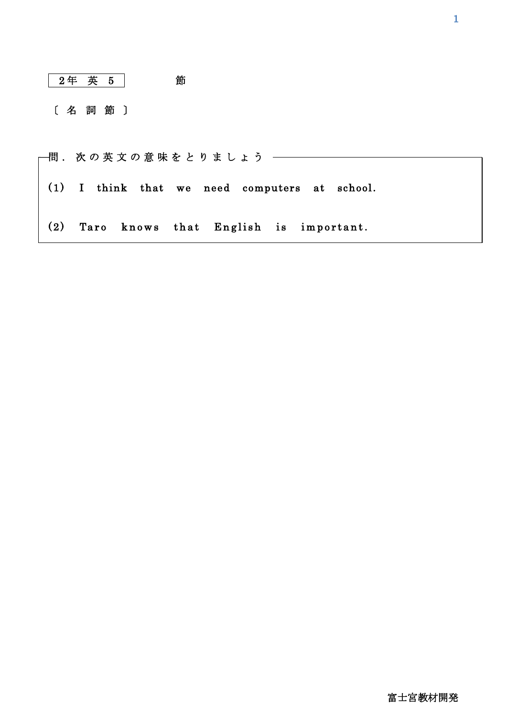|     | 2年 英 5 |  |                                       | 節 |  |  |  |                                           |  |
|-----|--------|--|---------------------------------------|---|--|--|--|-------------------------------------------|--|
|     | [名詞節]  |  |                                       |   |  |  |  |                                           |  |
|     |        |  | 問.次の英文の意味をとりましょう —                    |   |  |  |  |                                           |  |
| (1) |        |  |                                       |   |  |  |  | I think that we need computers at school. |  |
| (2) |        |  | Taro knows that English is important. |   |  |  |  |                                           |  |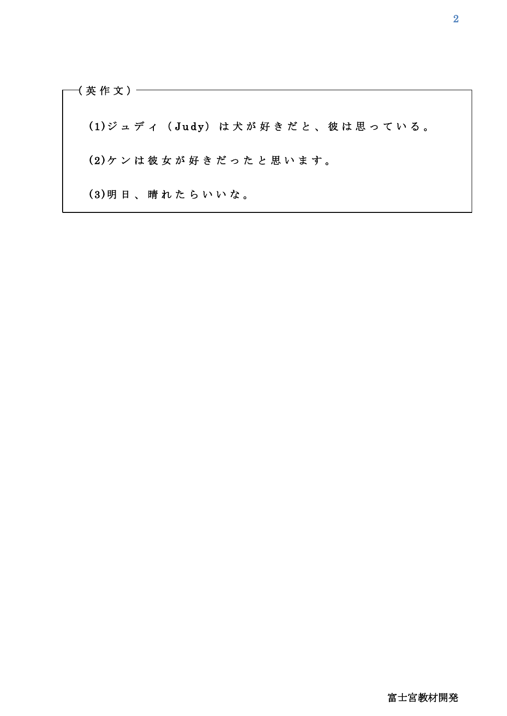( 英 作 文 ) (1) ジュディ (Judy) は犬が好きだと、彼は思っている。 (2) ケンは彼女が好きだったと思います。 (3) 明 日、 晴 れ た ら い い な。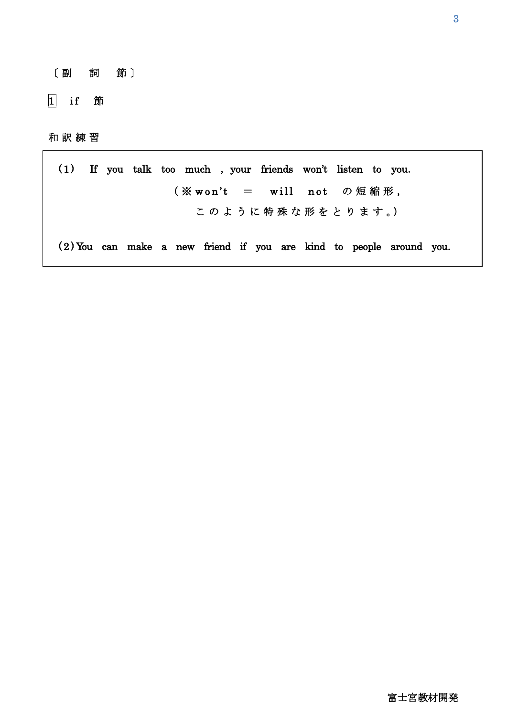- 〔 副 詞 節 〕
- 1 if 節

## 和 訳 練 習

(1) If you talk too much , your friends won't listen to you. ( ※ w o n 't = w i l l n o t の 短 縮 形 , このように特殊な形をとります。) ( 2 ) You can make a new friend if you are kind to people around you.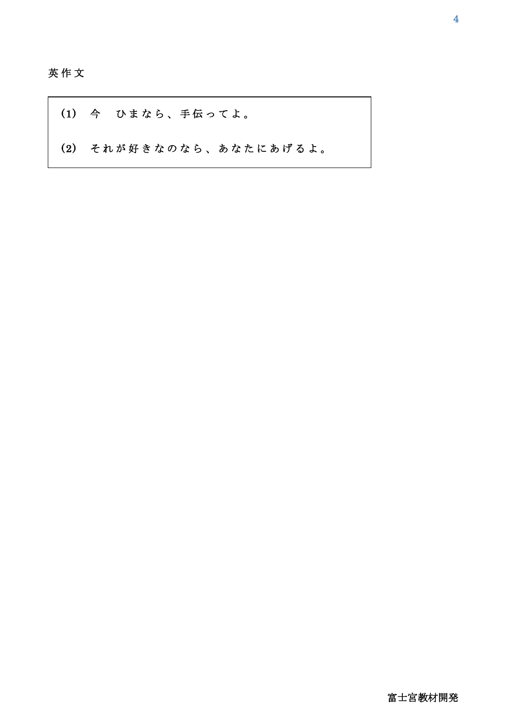英 作 文

 $\overline{a}$ 

(1) 今 ひまなら、手伝ってよ。 (2) それが好きなのなら、あなたにあげるよ。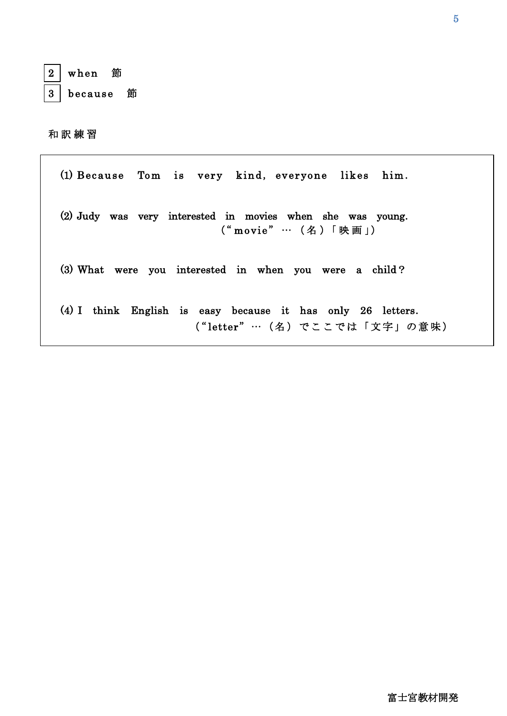| ı<br>ε.<br>ļ. |  |
|---------------|--|
| י             |  |

 $\overline{a}$ 

1

when 節

3 because 節

和 訳 練 習

(1) Because Tom is very kind, everyone likes him. (2) Judy was very interested in movies when she was young. ("movie" … (名)「映画」) (3) What were you interested in when you were a child? (4) I think English is easy because it has only 26 letters.

("letter" … (名) でここでは「文字」の意味)